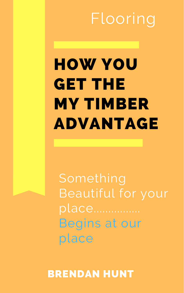# HOW YOU GET THE MY TIMBER ADVANTAGE



## Something Beautiful for your place................ Begins at our place

Flooring

### BRENDAN HUNT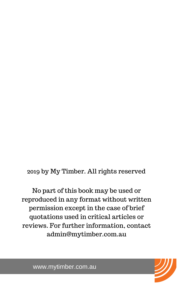

2019 by My Timber. All rights reserved

No part of this book may be used or reproduced in any format without written permission except in the case of brief quotations used in critical articles or reviews. For further information, contact admin@mytimber.com.au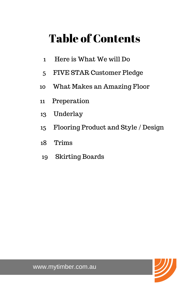



### Table of Contents

- 1 Here is What We will Do
- 5 FIVE STAR Customer Pledge
- 10 What Makes an Amazing Floor
- 11 Preperation
- 13 Underlay
- 15 Flooring Product and Style / Design
- 18 Trims
- 

#### 19 Skirting Boards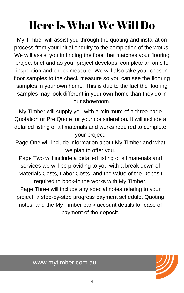

### Here Is What We Will Do

My Timber will assist you through the quoting and installation process from your initial enquiry to the completion of the works. We will assist you in finding the floor that matches your flooring project brief and as your project develops, complete an on site inspection and check measure. We will also take your chosen floor samples to the check measure so you can see the flooring samples in your own home. This is due to the fact the flooring samples may look different in your own home than they do in our showroom.

My Timber will supply you with a minimum of a three page Quotation or Pre Quote for your consideration. It will include a detailed listing of all materials and works required to complete your project.

Page One will include information about My Timber and what we plan to offer you.

Page Two will include a detailed listing of all materials and services we will be providing to you with a break down of Materials Costs, Labor Costs, and the value of the Deposit required to book-in the works with My Timber. Page Three will include any special notes relating to your project, a step-by-step progress payment schedule, Quoting notes, and the My Timber bank account details for ease of payment of the deposit.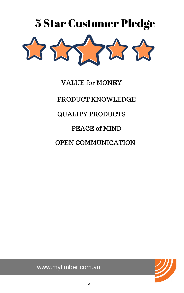



QUALITY PRODUCTS

#### VALUE for MONEY

PRODUCT KNOWLEDGE

PEACE of MIND

OPEN COMMUNICATION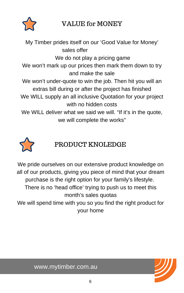



#### VALUE for MONEY

My Timber prides itself on our 'Good Value for Money' sales offer We do not play a pricing game We won't mark up our prices then mark them down to try and make the sale We won't under-quote to win the job. Then hit you will an extras bill during or after the project has finished We WILL supply an all inclusive Quotation for your project with no hidden costs We WILL deliver what we said we will. "If it's in the quote, we will complete the works"



We pride ourselves on our extensive product knowledge on all of our products, giving you piece of mind that your dream purchase is the right option for your family's lifestyle. There is no 'head office' trying to push us to meet this month's sales quotas We will spend time with you so you find the right product for

PRODUCT KNOLEDGE

your home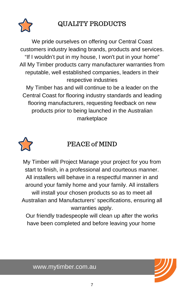



#### QUALITY PRODUCTS

We pride ourselves on offering our Central Coast customers industry leading brands, products and services. "If I wouldn't put in my house, I won't put in your home" All My Timber products carry manufacturer warranties from reputable, well established companies, leaders in their respective industries My Timber has and will continue to be a leader on the Central Coast for flooring industry standards and leading flooring manufacturers, requesting feedback on new products prior to being launched in the Australian

marketplace



PEACE of MIND

My Timber will Project Manage your project for you from start to finish, in a professional and courteous manner. All installers will behave in a respectful manner in and around your family home and your family. All installers will install your chosen products so as to meet all Australian and Manufacturers' specifications, ensuring all warranties apply.

Our friendly tradespeople will clean up after the works have been completed and before leaving your home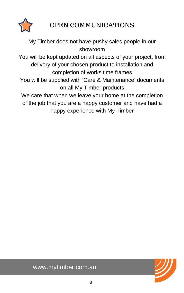



My Timber does not have pushy sales people in our showroom

You will be kept updated on all aspects of your project, from delivery of your chosen product to installation and completion of works time frames

We care that when we leave your home at the completion of the job that you are a happy customer and have had a happy experience with My Timber

You will be supplied with 'Care & Maintenance' documents on all My Timber products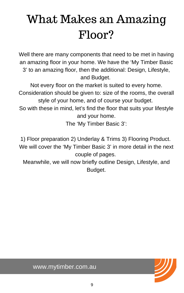



## What Makes an Amazing Floor?

Well there are many components that need to be met in having an amazing floor in your home. We have the 'My Timber Basic 3' to an amazing floor, then the additional: Design, Lifestyle, and Budget.

Not every floor on the market is suited to every home. Consideration should be given to: size of the rooms, the overall style of your home, and of course your budget.

So with these in mind, let's find the floor that suits your lifestyle and your home.

The 'My Timber Basic 3':

1) Floor preparation 2) Underlay & Trims 3) Flooring Product. We will cover the 'My Timber Basic 3' in more detail in the next couple of pages.

#### Meanwhile, we will now briefly outline Design, Lifestyle, and Budget.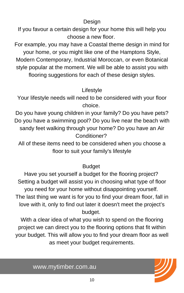

#### Design

If you favour a certain design for your home this will help you choose a new floor.

For example, you may have a Coastal theme design in mind for your home, or you might like one of the Hamptons Style, Modern Contemporary, Industrial Moroccan, or even Botanical style popular at the moment. We will be able to assist you with flooring suggestions for each of these design styles.

#### Lifestyle

Your lifestyle needs will need to be considered with your floor choice.

Do you have young children in your family? Do you have pets? Do you have a swimming pool? Do you live near the beach with sandy feet walking through your home? Do you have an Air Conditioner?

All of these items need to be considered when you choose a floor to suit your family's lifestyle

#### Budget

Have you set yourself a budget for the flooring project? Setting a budget will assist you in choosing what type of floor you need for your home without disappointing yourself. The last thing we want is for you to find your dream floor, fall in love with it, only to find out later it doesn't meet the project's budget.

With a clear idea of what you wish to spend on the flooring project we can direct you to the flooring options that fit within your budget. This will allow you to find your dream floor as well as meet your budget requirements.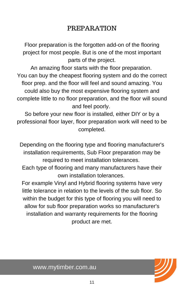

#### PREPARATION

Floor preparation is the forgotten add-on of the flooring project for most people. But is one of the most important parts of the project.

An amazing floor starts with the floor preparation. You can buy the cheapest flooring system and do the correct floor prep. and the floor will feel and sound amazing. You could also buy the most expensive flooring system and complete little to no floor preparation, and the floor will sound and feel poorly.

So before your new floor is installed, either DIY or by a professional floor layer, floor preparation work will need to be completed.

Depending on the flooring type and flooring manufacturer's installation requirements, Sub Floor preparation may be

required to meet installation tolerances.

Each type of flooring and many manufacturers have their own installation tolerances.

For example Vinyl and Hybrid flooring systems have very little tolerance in relation to the levels of the sub floor. So within the budget for this type of flooring you will need to allow for sub floor preparation works so manufacturer's installation and warranty requirements for the flooring product are met.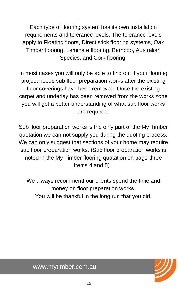



Each type of flooring system has its own installation requirements and tolerance levels. The tolerance levels apply to Floating floors, Direct stick flooring systems, Oak Timber flooring, Laminate flooring, Bamboo, Australian Species, and Cork flooring.

In most cases you will only be able to find out if your flooring project needs sub floor preparation works after the existing floor coverings have been removed. Once the existing carpet and underlay has been removed from the works zone you will get a better understanding of what sub floor works are required.

We always recommend our clients spend the time and money on floor preparation works. You will be thankful in the long run that you did.

Sub floor preparation works is the only part of the My Timber quotation we can not supply you during the quoting process. We can only suggest that sections of your home may require sub floor preparation works. (Sub floor preparation works is

#### noted in the My Timber flooring quotation on page three Items 4 and 5).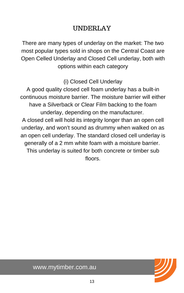

#### UNDERLAY

There are many types of underlay on the market: The two most popular types sold in shops on the Central Coast are Open Celled Underlay and Closed Cell underlay, both with options within each category

(i) Closed Cell Underlay

A good quality closed cell foam underlay has a built-in continuous moisture barrier. The moisture barrier will either have a Silverback or Clear Film backing to the foam underlay, depending on the manufacturer.

A closed cell will hold its integrity longer than an open cell underlay, and won't sound as drummy when walked on as an open cell underlay. The standard closed cell underlay is generally of a 2 mm white foam with a moisture barrier. This underlay is suited for both concrete or timber sub

floors.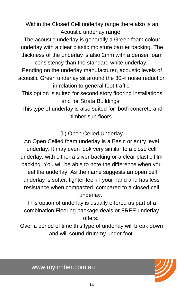

Within the Closed Cell underlay range there also is an Acoustic underlay range.

The acoustic underlay is generally a Green foam colour underlay with a clear plastic moisture barrier backing. The thickness of the underlay is also 2mm with a denser foam consistency than the standard white underlay.

Pending on the underlay manufacturer, acoustic levels of acoustic Green underlay sit around the 30% noise reduction in relation to general foot traffic.

This option is suited for second story flooring installations and for Strata Buildings.

This type of underlay is also suited for both concrete and timber sub floors.

(ii) Open Celled Underlay

An Open Celled foam underlay is a Basic or entry level underlay. It may even look very similar to a close cell underlay, with either a sliver backing or a clear plastic film backing. You will be able to note the difference when you feel the underlay. As the name suggests an open cell underlay is softer, lighter feel in your hand and has less resistance when compacted, compared to a closed cell underlay.

This option of underlay is usually offered as part of a combination Flooring package deals or FREE underlay offers.

Over a period of time this type of underlay will break down and will sound drummy under foot.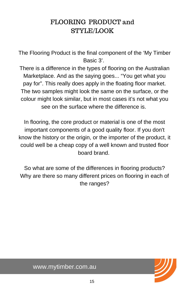



#### FLOORING PRODUCT and STYLE/LOOK

The Flooring Product is the final component of the 'My Timber Basic 3'.

There is a difference in the types of flooring on the Australian Marketplace. And as the saying goes... "You get what you pay for". This really does apply in the floating floor market. The two samples might look the same on the surface, or the colour might look similar, but in most cases it's not what you see on the surface where the difference is.

In flooring, the core product or material is one of the most important components of a good quality floor. If you don't know the history or the origin, or the importer of the product, it could well be a cheap copy of a well known and trusted floor board brand.

So what are some of the differences in flooring products? Why are there so many different prices on flooring in each of the ranges?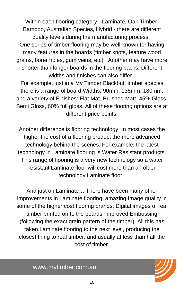

Within each flooring category - Laminate, Oak Timber, Bamboo, Australian Species, Hybrid - there are different quality levels during the manufacturing process. One series of timber flooring may be well-known for having many features in the boards (timber knots, feature wood grains, borer holes, gum veins, etc). Another may have more shorter than longer boards in the flooring packs. Different widths and finishes can also differ.

For example, just in a My Timber Blackbutt timber species there is a range of board Widths: 90mm, 135mm, 180mm, and a variety of Finishes: Flat Mat, Brushed Matt, 45% Gloss, Semi Gloss, 60% full gloss. All of these flooring options are at different price points.

Another difference is flooring technology. In most cases the higher the cost of a flooring product the more advanced technology behind the scenes. For example, the latest technology in Laminate flooring is Water Resistant products.

This range of flooring is a very new technology so a water resistant Laminate floor will cost more than an older technology Laminate floor.

And just on Laminate… There have been many other improvements in Laminate flooring: amazing Image quality in some of the higher cost flooring brands; Digital images of real timber printed on to the boards; improved Embossing (following the exact grain pattern of the timber). All this has taken Laminate flooring to the next level, producing the closest thing to real timber, and usually at less than half the cost of timber.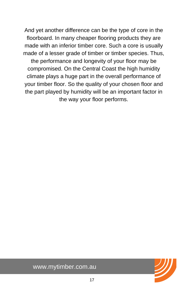

And yet another difference can be the type of core in the floorboard. In many cheaper flooring products they are made with an inferior timber core. Such a core is usually made of a lesser grade of timber or timber species. Thus, the performance and longevity of your floor may be compromised. On the Central Coast the high humidity climate plays a huge part in the overall performance of your timber floor. So the quality of your chosen floor and the part played by humidity will be an important factor in the way your floor performs.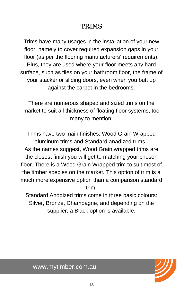



Trims have many usages in the installation of your new floor, namely to cover required expansion gaps in your floor (as per the flooring manufacturers' requirements). Plus, they are used where your floor meets any hard surface, such as tiles on your bathroom floor, the frame of your stacker or sliding doors, even when you butt up against the carpet in the bedrooms.

There are numerous shaped and sized trims on the market to suit all thickness of floating floor systems, too many to mention.

Trims have two main finishes: Wood Grain Wrapped aluminum trims and Standard anadized trims. As the names suggest, Wood Grain wrapped trims are the closest finish you will get to matching your chosen floor. There is a Wood Grain Wrapped trim to suit most of the timber species on the market. This option of trim is a much more expensive option than a comparison standard trim.

Standard Anodized trims come in three basic colours: Silver, Bronze, Champagne, and depending on the supplier, a Black option is available.

#### TRIMS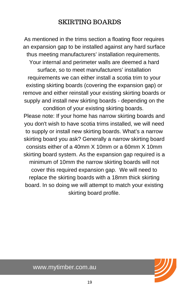As mentioned in the trims section a floating floor requires an expansion gap to be installed against any hard surface thus meeting manufacturers' installation requirements. Your internal and perimeter walls are deemed a hard surface, so to meet manufacturers' installation requirements we can either install a scotia trim to your existing skirting boards (covering the expansion gap) or remove and either reinstall your existing skirting boards or supply and install new skirting boards - depending on the condition of your existing skirting boards.

Please note: If your home has narrow skirting boards and you don't wish to have scotia trims installed, we will need to supply or install new skirting boards. What's a narrow skirting board you ask? Generally a narrow skirting board consists either of a 40mm  $X$  10mm or a 60mm  $X$  10mm skirting board system. As the expansion gap required is a minimum of 10mm the narrow skirting boards will not cover this required expansion gap. We will need to replace the skirting boards with a 18mm thick skirting board. In so doing we will attempt to match your existing skirting board profile.

#### SKIRTING BOARDS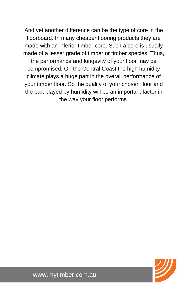And yet another difference can be the type of core in the floorboard. In many cheaper flooring products they are made with an inferior timber core. Such a core is usually made of a lesser grade of timber or timber species. Thus, the performance and longevity of your floor may be compromised. On the Central Coast the high humidity climate plays a huge part in the overall performance of your timber floor. So the quality of your chosen floor and the part played by humidity will be an important factor in the way your floor performs.